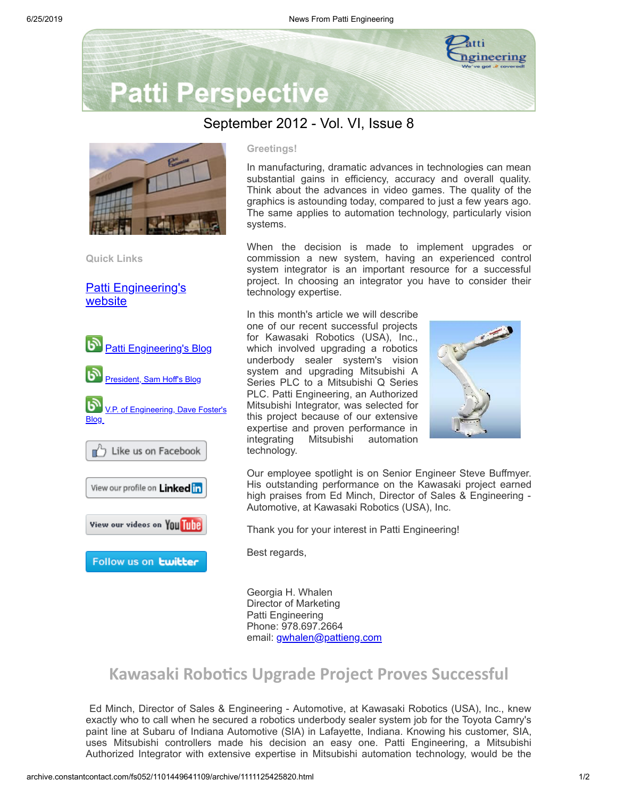

# **Patti Perspective**

### September 2012 - Vol. VI, Issue 8



**Quick Links**

[Patti Engineering's](http://www.pattieng.com/?utm_source=Patti+Perspective+9_2012&utm_campaign=Patti+Perspective+9_12_update&utm_medium=archive) website



#### **Greetings!**

In manufacturing, dramatic advances in technologies can mean substantial gains in efficiency, accuracy and overall quality. Think about the advances in video games. The quality of the graphics is astounding today, compared to just a few years ago. The same applies to automation technology, particularly vision systems.

When the decision is made to implement upgrades or commission a new system, having an experienced control system integrator is an important resource for a successful project. In choosing an integrator you have to consider their technology expertise.

In this month's article we will describe one of our recent successful projects for Kawasaki Robotics (USA), Inc., which involved upgrading a robotics underbody sealer system's vision system and upgrading Mitsubishi A Series PLC to a Mitsubishi Q Series PLC. Patti Engineering, an Authorized Mitsubishi Integrator, was selected for this project because of our extensive expertise and proven performance in integrating Mitsubishi automation technology.



Our employee spotlight is on Senior Engineer Steve Buffmyer. His outstanding performance on the Kawasaki project earned high praises from Ed Minch, Director of Sales & Engineering - Automotive, at Kawasaki Robotics (USA), Inc.

Thank you for your interest in Patti Engineering!

Best regards,

Georgia H. Whalen Director of Marketing Patti Engineering Phone: 978.697.2664 email: [gwhalen@pattieng.com](mailto:gwhalen@pattieng.com)

### **Kawasaki Robotics Upgrade Project Proves Successful**

Ed Minch, Director of Sales & Engineering - Automotive, at Kawasaki Robotics (USA), Inc., knew exactly who to call when he secured a robotics underbody sealer system job for the Toyota Camry's paint line at Subaru of Indiana Automotive (SIA) in Lafayette, Indiana. Knowing his customer, SIA, uses Mitsubishi controllers made his decision an easy one. Patti Engineering, a Mitsubishi Authorized Integrator with extensive expertise in Mitsubishi automation technology, would be the